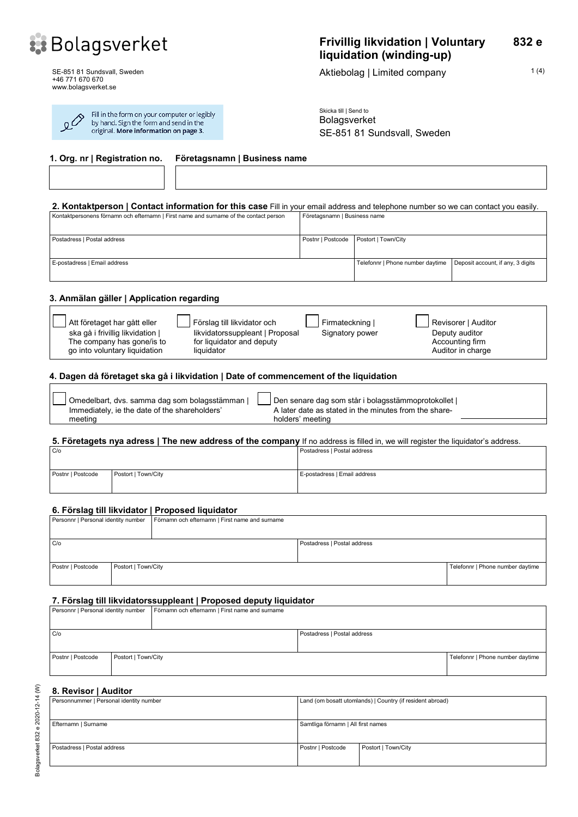

SE-851 81 Sundsvall, Sweden +46 771 670 670 www.bolagsverket.se

کیو

Г

| Fill in the form on your computer or legibly<br>by hand. Sign the form and send in the |  |
|----------------------------------------------------------------------------------------|--|
| original. More information on page 3.                                                  |  |

Aktiebolag | Limited company 1(4)

Skicka till | Send to Bolagsverket SE-851 81 Sundsvall, Sweden

| 1. Org. nr   Registration no.<br>Företagsnamn   Business name                                                                      |                              |                                  |                                   |
|------------------------------------------------------------------------------------------------------------------------------------|------------------------------|----------------------------------|-----------------------------------|
|                                                                                                                                    |                              |                                  |                                   |
| 2. Kontaktperson   Contact information for this case Fill in your email address and telephone number so we can contact you easily. |                              |                                  |                                   |
| Kontaktpersonens förnamn och efternamn   First name and surname of the contact person                                              | Företagsnamn   Business name |                                  |                                   |
| Postadress   Postal address                                                                                                        | Postnr   Postcode            | Postort   Town/City              |                                   |
| E-postadress   Email address                                                                                                       |                              | Telefonnr   Phone number daytime | Deposit account, if any, 3 digits |

### **3. Anmälan gäller | Application regarding**

| Att företaget har gått eller   | Förslag till likvidator och     | Firmateckning I | Revisorer   Auditor |
|--------------------------------|---------------------------------|-----------------|---------------------|
| ska gå i frivillig likvidation | likvidatorssuppleant   Proposal | Signatory power | Deputy auditor      |
| The company has gone/is to     | for liquidator and deputy       |                 | Accounting firm     |
| go into voluntary liquidation  | liquidator                      |                 | Auditor in charge   |

## **4. Dagen då företaget ska gå i likvidation | Date of commencement of the liquidation**

| Omedelbart, dvs. samma dag som bolagsstämman  | Den senare dag som står i bolagsstämmoprotokollet     |  |
|-----------------------------------------------|-------------------------------------------------------|--|
| Immediately, ie the date of the shareholders' | A later date as stated in the minutes from the share- |  |
| meeting                                       | holders' meeting                                      |  |

### **5. Företagets nya adress | The new address of the company** If no address is filled in, we will register the liquidator's address.

| C/O               |                     | Postadress   Postal address  |
|-------------------|---------------------|------------------------------|
| Postnr   Postcode | Postort   Town/City | E-postadress   Email address |

### **6. Förslag till likvidator | Proposed liquidator**

| Personnr   Personal identity number |                     | Förnamn och efternamn   First name and surname |                             |                                  |
|-------------------------------------|---------------------|------------------------------------------------|-----------------------------|----------------------------------|
|                                     |                     |                                                |                             |                                  |
| C/O                                 |                     |                                                | Postadress   Postal address |                                  |
|                                     |                     |                                                |                             |                                  |
| Postnr   Postcode                   | Postort   Town/City |                                                |                             | Telefonnr   Phone number daytime |
|                                     |                     |                                                |                             |                                  |

#### **7. Förslag till likvidatorssuppleant | Proposed deputy liquidator**

|                   |                     | Personnr   Personal identity number   Förnamn och efternamn   First name and surname |                             |                                  |
|-------------------|---------------------|--------------------------------------------------------------------------------------|-----------------------------|----------------------------------|
| C/O               |                     |                                                                                      | Postadress   Postal address |                                  |
| Postnr   Postcode | Postort   Town/City |                                                                                      |                             | Telefonnr   Phone number daytime |

#### **8. Revisor | Auditor**

| Personnummer   Personal identity number | Land (om bosatt utomlands)   Country (if resident abroad) |                     |
|-----------------------------------------|-----------------------------------------------------------|---------------------|
| Efternamn   Surname                     | Samtliga förnamn   All first names                        |                     |
| Postadress   Postal address             | Postnr   Postcode                                         | Postort   Town/City |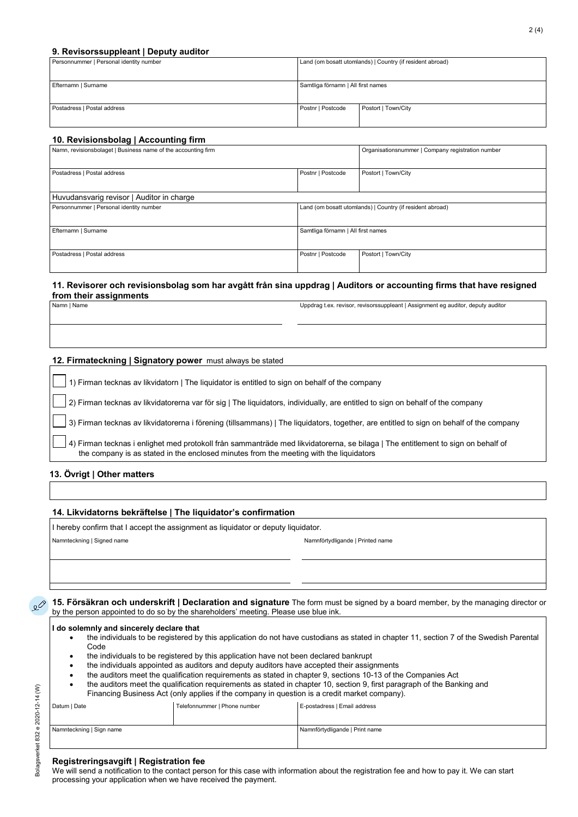#### **9. Revisorssuppleant | Deputy auditor**

| Land (om bosatt utomlands)   Country (if resident abroad) |                     |
|-----------------------------------------------------------|---------------------|
|                                                           |                     |
|                                                           |                     |
|                                                           |                     |
| Samtliga förnamn   All first names                        |                     |
|                                                           |                     |
|                                                           |                     |
|                                                           |                     |
|                                                           | Postort   Town/City |
|                                                           |                     |
|                                                           |                     |
|                                                           | Postnr   Postcode   |

#### **10. Revisionsbolag | Accounting firm**

| Namn, revisionsbolaget   Business name of the accounting firm |                                                           | Organisationsnummer   Company registration number |
|---------------------------------------------------------------|-----------------------------------------------------------|---------------------------------------------------|
| Postnr   Postcode<br>Postadress   Postal address              |                                                           | Postort   Town/City                               |
| Huvudansvarig revisor   Auditor in charge                     |                                                           |                                                   |
| Personnummer   Personal identity number                       | Land (om bosatt utomlands)   Country (if resident abroad) |                                                   |
| Efternamn   Surname                                           | Samtliga förnamn   All first names                        |                                                   |
| Postadress   Postal address                                   | Postort   Town/City<br>Postnr   Postcode                  |                                                   |

#### **11. Revisorer och revisionsbolag som har avgått från sina uppdrag | Auditors or accounting firms that have resigned from their assignments**

Namn | Name Uppdrag t.ex. revisor, revisorssuppleant | Assignment eg auditor, deputy auditor

#### **12. Firmateckning | Signatory power** must always be stated

| 1) Firman tecknas av likvidatorn   The liquidator is entitled to sign on behalf of the company                                                                                                                             |
|----------------------------------------------------------------------------------------------------------------------------------------------------------------------------------------------------------------------------|
| 2) Firman tecknas av likvidatorerna var för sig   The liquidators, individually, are entitled to sign on behalf of the company                                                                                             |
| 3) Firman tecknas av likvidatorerna i förening (tillsammans)   The liquidators, together, are entitled to sign on behalf of the company                                                                                    |
| 4) Firman tecknas i enlighet med protokoll från sammanträde med likvidatorerna, se bilaga   The entitlement to sign on behalf of<br>the company is as stated in the enclosed minutes from the meeting with the liquidators |
| 12. Övrigt I Other matters                                                                                                                                                                                                 |

#### **13. Övrigt | Other matters**

#### **14. Likvidatorns bekräftelse | The liquidator's confirmation**

I hereby confirm that I accept the assignment as liquidator or deputy liquidator.

Namnteckning | Signed name Namnförtydligande | Printed name

**15. Försäkran och underskrift | Declaration and signature** The form must be signed by a board member, by the managing director or  $\mathcal{Q}$ by the person appointed to do so by the shareholders' meeting. Please use blue ink.

#### **I do solemnly and sincerely declare that**

- the individuals to be registered by this application do not have custodians as stated in chapter 11, section 7 of the Swedish Parental Code
- the individuals to be registered by this application have not been declared bankrupt
- the individuals appointed as auditors and deputy auditors have accepted their assignments
- the auditors meet the qualification requirements as stated in chapter 9, sections 10-13 of the Companies Act
- the auditors meet the qualification requirements as stated in chapter 10, section 9, first paragraph of the Banking and Financing Business Act (only applies if the company in question is a credit market company).
- Datum | Date | Telefonnummer | Phone number | E-postadress | Email address Namnförtydligande | Print name Namnförtydligande | Print name

#### **Registreringsavgift | Registration fee**

We will send a notification to the contact person for this case with information about the registration fee and how to pay it. We can start processing your application when we have received the payment.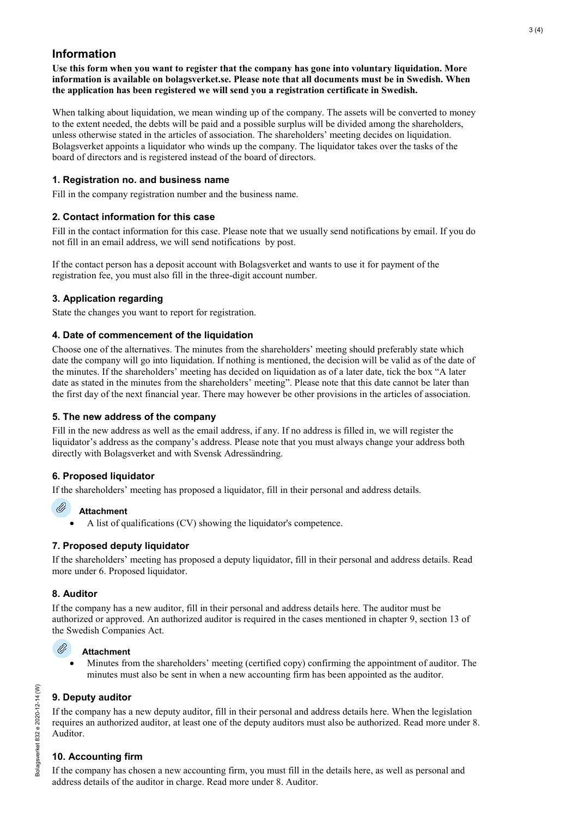# **Information**

**Use this form when you want to register that the company has gone into voluntary liquidation. More information is available on bolagsverket.se. Please note that all documents must be in Swedish. When the application has been registered we will send you a registration certificate in Swedish.**

When talking about liquidation, we mean winding up of the company. The assets will be converted to money to the extent needed, the debts will be paid and a possible surplus will be divided among the shareholders, unless otherwise stated in the articles of association. The shareholders' meeting decides on liquidation. Bolagsverket appoints a liquidator who winds up the company. The liquidator takes over the tasks of the board of directors and is registered instead of the board of directors.

## **1. Registration no. and business name**

Fill in the company registration number and the business name.

## **2. Contact information for this case**

Fill in the contact information for this case. Please note that we usually send notifications by email. If you do not fill in an email address, we will send notifications by post.

If the contact person has a deposit account with Bolagsverket and wants to use it for payment of the registration fee, you must also fill in the three-digit account number.

# **3. Application regarding**

State the changes you want to report for registration.

## **4. Date of commencement of the liquidation**

Choose one of the alternatives. The minutes from the shareholders' meeting should preferably state which date the company will go into liquidation. If nothing is mentioned, the decision will be valid as of the date of the minutes. If the shareholders' meeting has decided on liquidation as of a later date, tick the box "A later date as stated in the minutes from the shareholders' meeting". Please note that this date cannot be later than the first day of the next financial year. There may however be other provisions in the articles of association.

## **5. The new address of the company**

Fill in the new address as well as the email address, if any. If no address is filled in, we will register the liquidator's address as the company's address. Please note that you must always change your address both directly with Bolagsverket and with Svensk Adressändring.

# **6. Proposed liquidator**

If the shareholders' meeting has proposed a liquidator, fill in their personal and address details.

## **Attachment**

• A list of qualifications (CV) showing the liquidator's competence.

## **7. Proposed deputy liquidator**

If the shareholders' meeting has proposed a deputy liquidator, fill in their personal and address details. Read more under 6. Proposed liquidator.

# **8. Auditor**

Ü)

If the company has a new auditor, fill in their personal and address details here. The auditor must be authorized or approved. An authorized auditor is required in the cases mentioned in chapter 9, section 13 of the Swedish Companies Act.

#### Ø **Attachment**

• Minutes from the shareholders' meeting (certified copy) confirming the appointment of auditor. The minutes must also be sent in when a new accounting firm has been appointed as the auditor.

# **9. Deputy auditor**

If the company has a new deputy auditor, fill in their personal and address details here. When the legislation requires an authorized auditor, at least one of the deputy auditors must also be authorized. Read more under 8. Auditor.

# **10. Accounting firm**

If the company has chosen a new accounting firm, you must fill in the details here, as well as personal and address details of the auditor in charge. Read more under 8. Auditor.